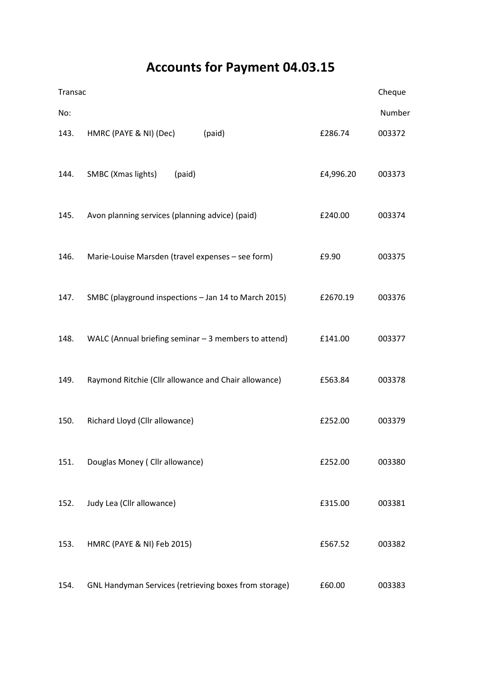## Accounts for Payment 04.03.15

| Transac |                                                       |           | Cheque |
|---------|-------------------------------------------------------|-----------|--------|
| No:     |                                                       |           | Number |
| 143.    | HMRC (PAYE & NI) (Dec)<br>(paid)                      | £286.74   | 003372 |
| 144.    | SMBC (Xmas lights)<br>(paid)                          | £4,996.20 | 003373 |
| 145.    | Avon planning services (planning advice) (paid)       | £240.00   | 003374 |
| 146.    | Marie-Louise Marsden (travel expenses - see form)     | £9.90     | 003375 |
| 147.    | SMBC (playground inspections - Jan 14 to March 2015)  | £2670.19  | 003376 |
| 148.    | WALC (Annual briefing seminar $-3$ members to attend) | £141.00   | 003377 |
| 149.    | Raymond Ritchie (Cllr allowance and Chair allowance)  | £563.84   | 003378 |
| 150.    | Richard Lloyd (Cllr allowance)                        | £252.00   | 003379 |
| 151.    | Douglas Money (Cllr allowance)                        | £252.00   | 003380 |
| 152.    | Judy Lea (Cllr allowance)                             | £315.00   | 003381 |
| 153.    | HMRC (PAYE & NI) Feb 2015)                            | £567.52   | 003382 |
| 154.    | GNL Handyman Services (retrieving boxes from storage) | £60.00    | 003383 |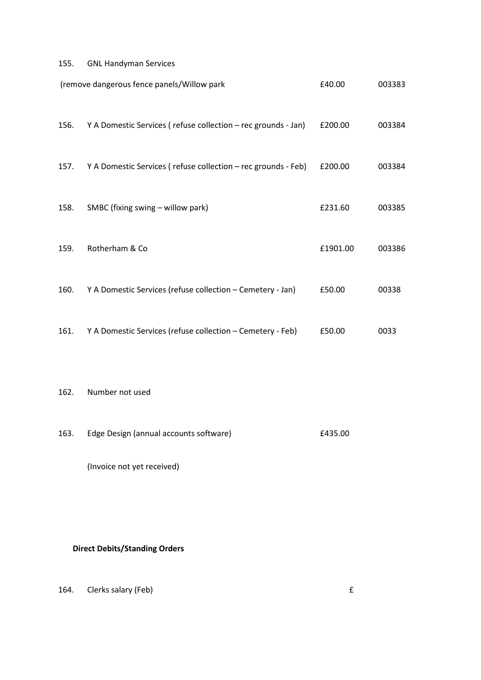## 155. GNL Handyman Services

| (remove dangerous fence panels/Willow park |                                                               | £40.00   | 003383 |
|--------------------------------------------|---------------------------------------------------------------|----------|--------|
| 156.                                       | Y A Domestic Services (refuse collection – rec grounds - Jan) | £200.00  | 003384 |
| 157.                                       | Y A Domestic Services (refuse collection - rec grounds - Feb) | £200.00  | 003384 |
| 158.                                       | SMBC (fixing swing - willow park)                             | £231.60  | 003385 |
| 159.                                       | Rotherham & Co                                                | £1901.00 | 003386 |
| 160.                                       | Y A Domestic Services (refuse collection - Cemetery - Jan)    | £50.00   | 00338  |
| 161.                                       | Y A Domestic Services (refuse collection - Cemetery - Feb)    | £50.00   | 0033   |

## 162. Number not used

| 163. | Edge Design (annual accounts software) | £435.00 |
|------|----------------------------------------|---------|
|      |                                        |         |
|      |                                        |         |

(Invoice not yet received)

## Direct Debits/Standing Orders

164. Clerks salary (Feb) 6. The same state of the same state of the state of the state of the state of the state of the state of the state of the state of the state of the state of the state of the state of the state of th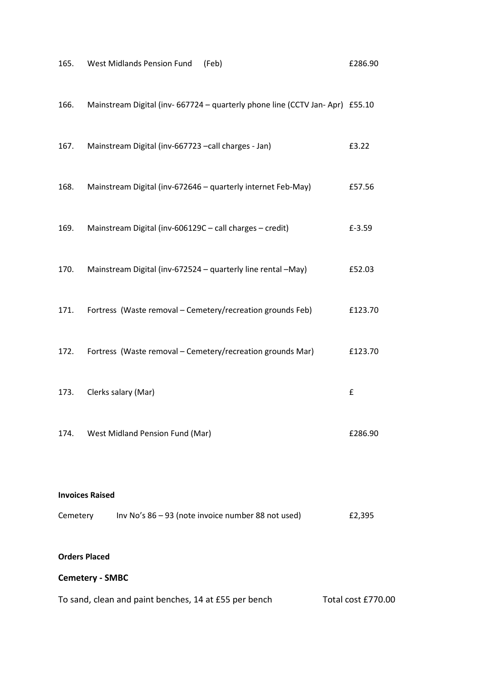| 165.                                                                        | West Midlands Pension Fund<br>(Feb)                                         | £286.90 |  |
|-----------------------------------------------------------------------------|-----------------------------------------------------------------------------|---------|--|
| 166.                                                                        | Mainstream Digital (inv-667724 - quarterly phone line (CCTV Jan-Apr) £55.10 |         |  |
| 167.                                                                        | Mainstream Digital (inv-667723 - call charges - Jan)                        | £3.22   |  |
| 168.                                                                        | Mainstream Digital (inv-672646 - quarterly internet Feb-May)                | £57.56  |  |
| 169.                                                                        | Mainstream Digital (inv-606129C - call charges - credit)                    | £-3.59  |  |
| 170.                                                                        | Mainstream Digital (inv-672524 - quarterly line rental -May)                | £52.03  |  |
| 171.                                                                        | Fortress (Waste removal - Cemetery/recreation grounds Feb)                  | £123.70 |  |
| 172.                                                                        | Fortress (Waste removal - Cemetery/recreation grounds Mar)                  | £123.70 |  |
| 173.                                                                        | Clerks salary (Mar)                                                         | £       |  |
| 174.                                                                        | West Midland Pension Fund (Mar)                                             | £286.90 |  |
|                                                                             |                                                                             |         |  |
| <b>Invoices Raised</b>                                                      |                                                                             |         |  |
| Cemetery                                                                    | Inv No's 86 - 93 (note invoice number 88 not used)                          | £2,395  |  |
| <b>Orders Placed</b>                                                        |                                                                             |         |  |
| <b>Cemetery - SMBC</b>                                                      |                                                                             |         |  |
| To sand, clean and paint benches, 14 at £55 per bench<br>Total cost £770.00 |                                                                             |         |  |